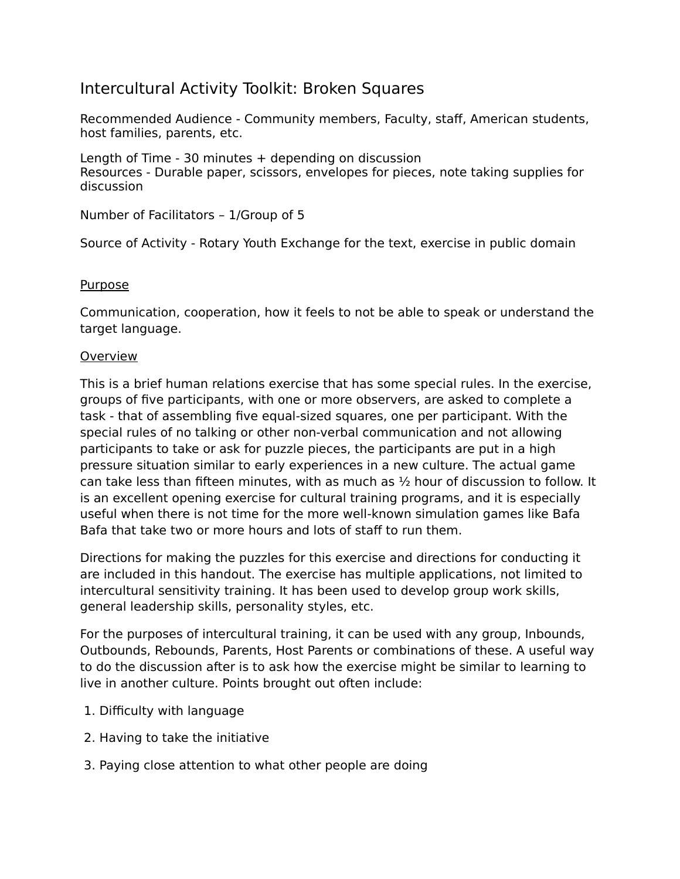# Intercultural Activity Toolkit: Broken Squares

Recommended Audience - Community members, Faculty, staff, American students, host families, parents, etc.

Length of Time - 30 minutes + depending on discussion Resources - Durable paper, scissors, envelopes for pieces, note taking supplies for discussion

Number of Facilitators – 1/Group of 5

Source of Activity - Rotary Youth Exchange for the text, exercise in public domain

#### **Purpose**

Communication, cooperation, how it feels to not be able to speak or understand the target language.

#### **Overview**

This is a brief human relations exercise that has some special rules. In the exercise, groups of five participants, with one or more observers, are asked to complete a task - that of assembling five equal-sized squares, one per participant. With the special rules of no talking or other non-verbal communication and not allowing participants to take or ask for puzzle pieces, the participants are put in a high pressure situation similar to early experiences in a new culture. The actual game can take less than fifteen minutes, with as much as  $\frac{1}{2}$  hour of discussion to follow. It is an excellent opening exercise for cultural training programs, and it is especially useful when there is not time for the more well-known simulation games like Bafa Bafa that take two or more hours and lots of staff to run them.

Directions for making the puzzles for this exercise and directions for conducting it are included in this handout. The exercise has multiple applications, not limited to intercultural sensitivity training. It has been used to develop group work skills, general leadership skills, personality styles, etc.

For the purposes of intercultural training, it can be used with any group, Inbounds, Outbounds, Rebounds, Parents, Host Parents or combinations of these. A useful way to do the discussion after is to ask how the exercise might be similar to learning to live in another culture. Points brought out often include:

- 1. Difficulty with language
- 2. Having to take the initiative
- 3. Paying close attention to what other people are doing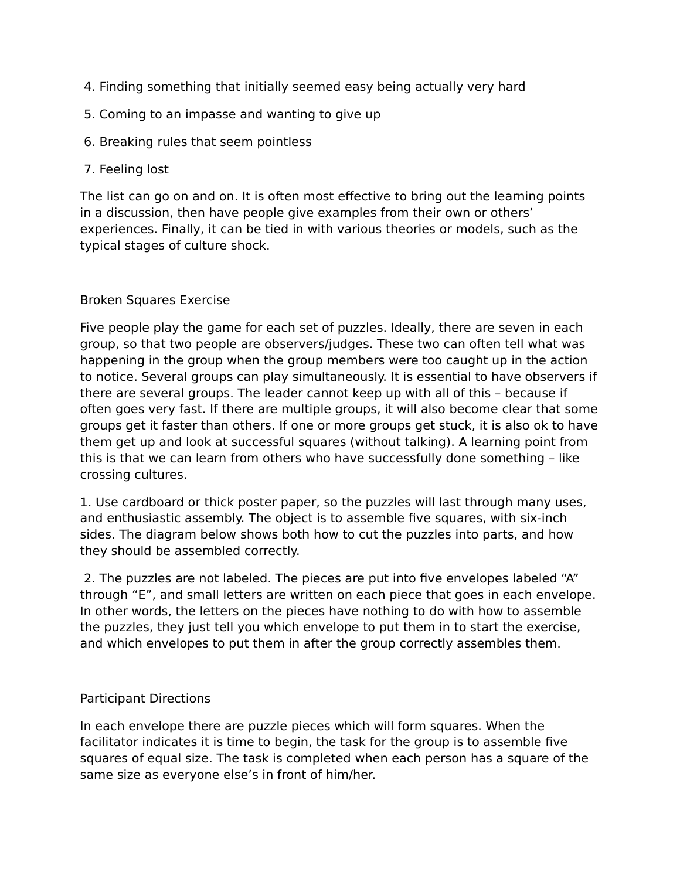- 4. Finding something that initially seemed easy being actually very hard
- 5. Coming to an impasse and wanting to give up
- 6. Breaking rules that seem pointless
- 7. Feeling lost

The list can go on and on. It is often most effective to bring out the learning points in a discussion, then have people give examples from their own or others' experiences. Finally, it can be tied in with various theories or models, such as the typical stages of culture shock.

### Broken Squares Exercise

Five people play the game for each set of puzzles. Ideally, there are seven in each group, so that two people are observers/judges. These two can often tell what was happening in the group when the group members were too caught up in the action to notice. Several groups can play simultaneously. It is essential to have observers if there are several groups. The leader cannot keep up with all of this – because if often goes very fast. If there are multiple groups, it will also become clear that some groups get it faster than others. If one or more groups get stuck, it is also ok to have them get up and look at successful squares (without talking). A learning point from this is that we can learn from others who have successfully done something – like crossing cultures.

1. Use cardboard or thick poster paper, so the puzzles will last through many uses, and enthusiastic assembly. The object is to assemble five squares, with six-inch sides. The diagram below shows both how to cut the puzzles into parts, and how they should be assembled correctly.

 2. The puzzles are not labeled. The pieces are put into five envelopes labeled "A" through "E", and small letters are written on each piece that goes in each envelope. In other words, the letters on the pieces have nothing to do with how to assemble the puzzles, they just tell you which envelope to put them in to start the exercise, and which envelopes to put them in after the group correctly assembles them.

## Participant Directions

In each envelope there are puzzle pieces which will form squares. When the facilitator indicates it is time to begin, the task for the group is to assemble five squares of equal size. The task is completed when each person has a square of the same size as everyone else's in front of him/her.